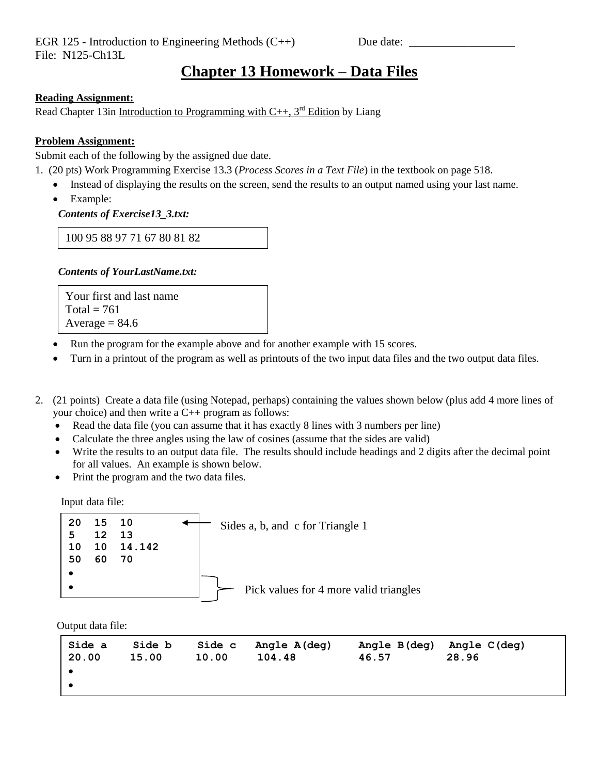## **Chapter 13 Homework – Data Files**

#### **Reading Assignment:**

Read Chapter 13 in Introduction to Programming with  $C_{++}$ , 3<sup>rd</sup> Edition by Liang

#### **Problem Assignment:**

Submit each of the following by the assigned due date.

- 1. (20 pts) Work Programming Exercise 13.3 (*Process Scores in a Text File*) in the textbook on page 518.
	- Instead of displaying the results on the screen, send the results to an output named using your last name.
	- Example:

 *Contents of Exercise13\_3.txt:*

100 95 88 97 71 67 80 81 82

### *Contents of YourLastName.txt:*

Your first and last name Total =  $761$ Average  $= 84.6$ 

- Run the program for the example above and for another example with 15 scores.
- Turn in a printout of the program as well as printouts of the two input data files and the two output data files.
- 2. (21 points) Create a data file (using Notepad, perhaps) containing the values shown below (plus add 4 more lines of your choice) and then write a C++ program as follows:
	- Read the data file (you can assume that it has exactly 8 lines with 3 numbers per line)
	- Calculate the three angles using the law of cosines (assume that the sides are valid)
	- Write the results to an output data file. The results should include headings and 2 digits after the decimal point for all values. An example is shown below.
	- Print the program and the two data files.

Input data file:



Output data file:

| Side a<br>20.00 | Side b<br>15.00 | Side c<br>10.00 | Angle A(deg)<br>104.48 | Angle B(deg)<br>46.57 | Angle C(deg)<br>28.96 |
|-----------------|-----------------|-----------------|------------------------|-----------------------|-----------------------|
|                 |                 |                 |                        |                       |                       |
|                 |                 |                 |                        |                       |                       |
|                 |                 |                 |                        |                       |                       |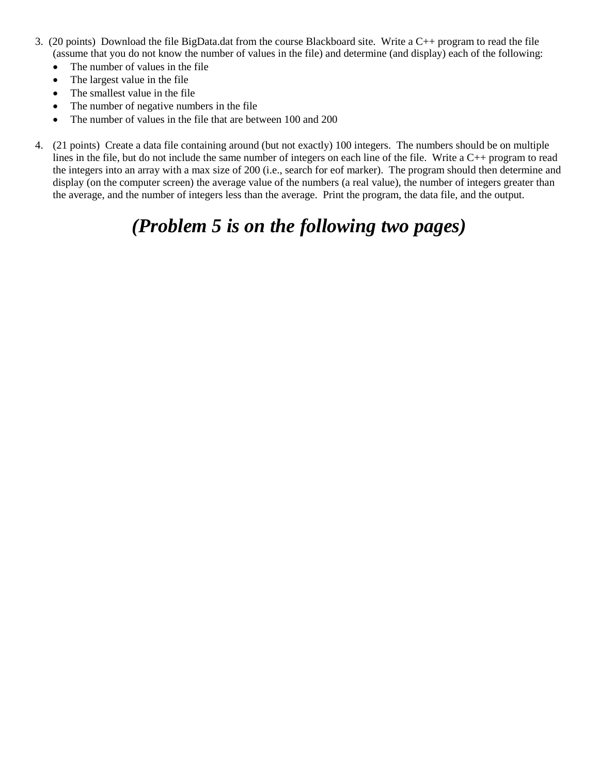- 3. (20 points) Download the file BigData.dat from the course Blackboard site. Write a C++ program to read the file (assume that you do not know the number of values in the file) and determine (and display) each of the following:
	- The number of values in the file
	- The largest value in the file
	- The smallest value in the file
	- The number of negative numbers in the file
	- The number of values in the file that are between 100 and 200
- 4. (21 points) Create a data file containing around (but not exactly) 100 integers. The numbers should be on multiple lines in the file, but do not include the same number of integers on each line of the file. Write a C++ program to read the integers into an array with a max size of 200 (i.e., search for eof marker). The program should then determine and display (on the computer screen) the average value of the numbers (a real value), the number of integers greater than the average, and the number of integers less than the average. Print the program, the data file, and the output.

# *(Problem 5 is on the following two pages)*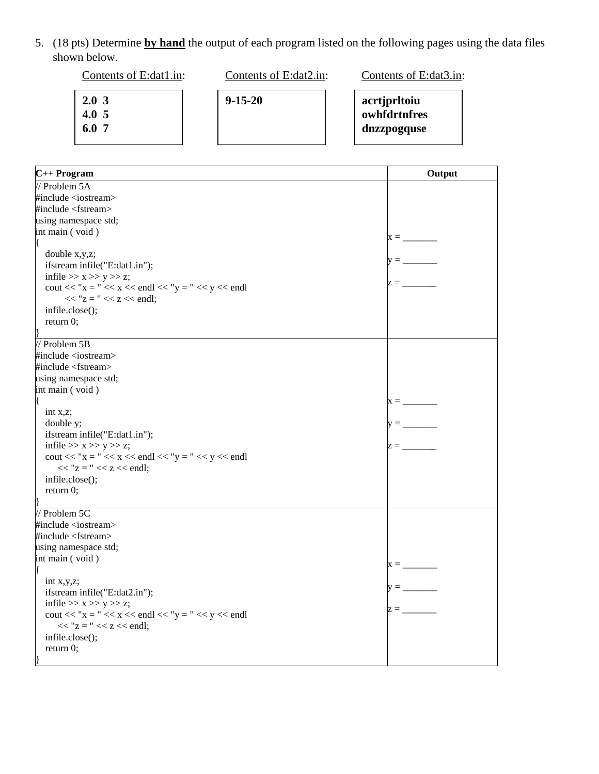5. (18 pts) Determine **by hand** the output of each program listed on the following pages using the data files shown below.

**2.0 3 4.0 5 6.0 7** Contents of E:dat1.in: **9-15-20** Contents of E:dat2.in: **acrtjprltoiu owhfdrtnfres dnzzpogquse** Contents of E:dat3.in:

| C++ Program                                                                     | Output                          |
|---------------------------------------------------------------------------------|---------------------------------|
| $\frac{1}{2}$ Problem 5A                                                        |                                 |
| #include <iostream></iostream>                                                  |                                 |
| $\#$ include <fstream></fstream>                                                |                                 |
| using namespace std;                                                            |                                 |
| int main (void)                                                                 |                                 |
|                                                                                 |                                 |
| double x,y,z;                                                                   |                                 |
| ifstream infile("E:dat1.in");                                                   |                                 |
| infile $>> x >> y >> z$ ;                                                       | $z =$                           |
| $\text{cout} \ll "x = " \ll x \ll \text{endl} \ll "y = " \ll y \ll \text{endl}$ |                                 |
| $<<$ "z = " $<<$ z $<<$ endl;                                                   |                                 |
| infile.close();                                                                 |                                 |
| return 0;                                                                       |                                 |
|                                                                                 |                                 |
| // Problem 5B                                                                   |                                 |
| #include <iostream></iostream>                                                  |                                 |
| #include <fstream></fstream>                                                    |                                 |
| using namespace std;                                                            |                                 |
| int main (void)                                                                 |                                 |
|                                                                                 | $x = \overline{\qquad \qquad }$ |
| int $x, z$ ;                                                                    |                                 |
| double y;                                                                       |                                 |
| ifstream infile("E:dat1.in");                                                   |                                 |
| infile $>> x >> y >> z$ ;                                                       | $z =$                           |
| $\text{cout} \ll "x = " \ll x \ll \text{endl} \ll "y = " \ll y \ll \text{endl}$ |                                 |
| $<<$ "z = " $<<$ z $<<$ endl;                                                   |                                 |
| infile.close();                                                                 |                                 |
| return 0;                                                                       |                                 |
|                                                                                 |                                 |
| // Problem 5C                                                                   |                                 |
| #include <iostream></iostream>                                                  |                                 |
| #include <fstream></fstream>                                                    |                                 |
| using namespace std;                                                            |                                 |
| int main (void)                                                                 | $x = \underline{\qquad}$        |
|                                                                                 |                                 |
| int $x, y, z$ ;                                                                 | $y =$                           |
| ifstream infile("E:dat2.in");                                                   |                                 |
| infile $>> x >> y >> z$ ;                                                       | $z = \underline{\qquad}$        |
| cout << "x = " << x << endl << "y = " << y << endl                              |                                 |
| $<<$ "z = " $<<$ z $<<$ endl;                                                   |                                 |
| infile.close();                                                                 |                                 |
| return $0$ ;                                                                    |                                 |
|                                                                                 |                                 |